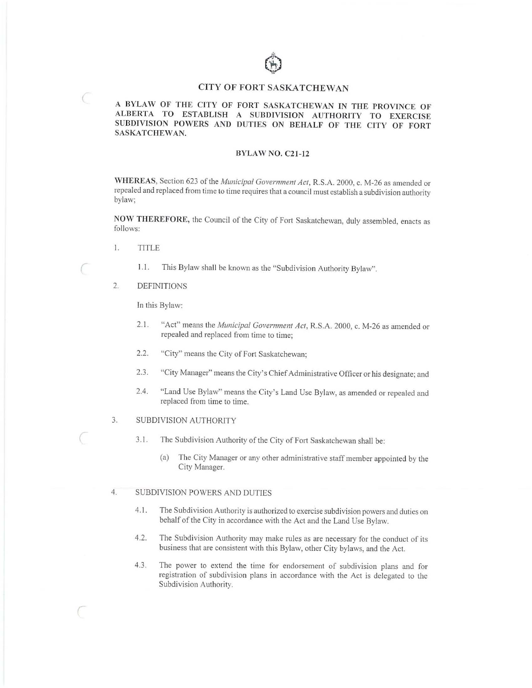# **CITY OF FORT SASKATCHEWAN**

## A BYLAW OF THE CITY OF FORT SASKATCHEWAN IN THE PROVINCE OF **ALBERTA TO ESTABLISH A SUBDIVISION AUTHORITY TO EXERCISE SUBDIVISION POWERS AND DUTIES ON BEHALF OF THE CITY OF FORT SASKATCHEWAN.**

#### **BYLAW NO. CZI-12**

WHEREAS, Section 623 of the *Municipal Government Act*, R.S.A. 2000, c. M-26 as amended or repealed and replaced from time to time requires that a council must establish a subdivision authority bylaw;

**NOW THEREFORE,** the Council of the City of Fort Saskatchewan, duly assembled, enacts as follows:

I. TITLE

*(* 

*(* 

*(* 

- 1.1. This Bylaw shall be known as the "Subdivision Authority Bylaw".
- 2. DEFINITIONS

In this Bylaw:

- 2.1 . "Act" means the *A1unicipal Govermnenl Ac!,* R.S.A. 2000, c. M-26 as amended or repealed and replaced from time to time;
- 2.2. "City" means the City of Fort Saskatchewan;
- 2.3. "City Manager" means the City's Chief Administrative Officer or his designate; and
- 2.4. "Land Use Bylaw" means the City's Land Use Bylaw, as amended or repealed and replaced from time to time.
- 3. SUBDIVISION AUTHORITY
	- 3.1. The Subdivision Authority of the City of Fort Saskatchewan shall be:
		- (a) The City Manager or any other administrative staff member appointed by the City Manager.

#### 4. SUBDIVISION POWERS AND DUTIES

- 4.1. The Subdivision Authority is authorized to exercise subdivision powers and duties on behalf of the City in accordance with the Act and the Land Use Bylaw.
- 4.2. The Subdivision Authority may make rules as are necessary for the conduct of its business that are consistent with this Bylaw, other City bylaws, and the Act.
- 4.3. The power to extend the time for endorsement of subdivision plans and for registration of subdivision plans in accordance with the Act is delegated to the Subdivision Authority.